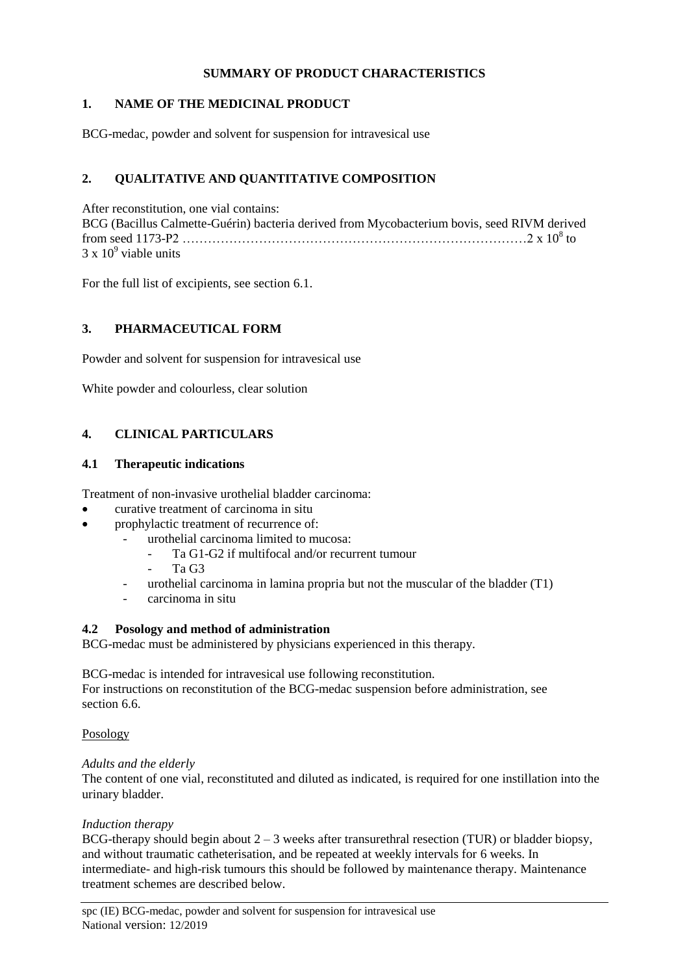## **SUMMARY OF PRODUCT CHARACTERISTICS**

## **1. NAME OF THE MEDICINAL PRODUCT**

BCG-medac, powder and solvent for suspension for intravesical use

# **2. QUALITATIVE AND QUANTITATIVE COMPOSITION**

After reconstitution, one vial contains: BCG (Bacillus Calmette-Guérin) bacteria derived from Mycobacterium bovis, seed RIVM derived from seed 1173-P2 ………………………………………………………………………2 x 10<sup>8</sup> to  $3 \times 10^9$  viable units

For the full list of excipients, see section 6.1.

# **3. PHARMACEUTICAL FORM**

Powder and solvent for suspension for intravesical use

White powder and colourless, clear solution

# **4. CLINICAL PARTICULARS**

## **4.1 Therapeutic indications**

Treatment of non-invasive urothelial bladder carcinoma:

- curative treatment of carcinoma in situ
- prophylactic treatment of recurrence of:
	- urothelial carcinoma limited to mucosa:
		- Ta G1-G2 if multifocal and/or recurrent tumour
		- Ta G<sub>3</sub>
	- urothelial carcinoma in lamina propria but not the muscular of the bladder  $(T1)$
	- carcinoma in situ

## **4.2 Posology and method of administration**

BCG-medac must be administered by physicians experienced in this therapy.

BCG-medac is intended for intravesical use following reconstitution. For instructions on reconstitution of the BCG-medac suspension before administration, see section 6.6.

## Posology

## *Adults and the elderly*

The content of one vial, reconstituted and diluted as indicated, is required for one instillation into the urinary bladder.

## *Induction therapy*

BCG-therapy should begin about  $2 - 3$  weeks after transurethral resection (TUR) or bladder biopsy, and without traumatic catheterisation, and be repeated at weekly intervals for 6 weeks. In intermediate- and high-risk tumours this should be followed by maintenance therapy. Maintenance treatment schemes are described below.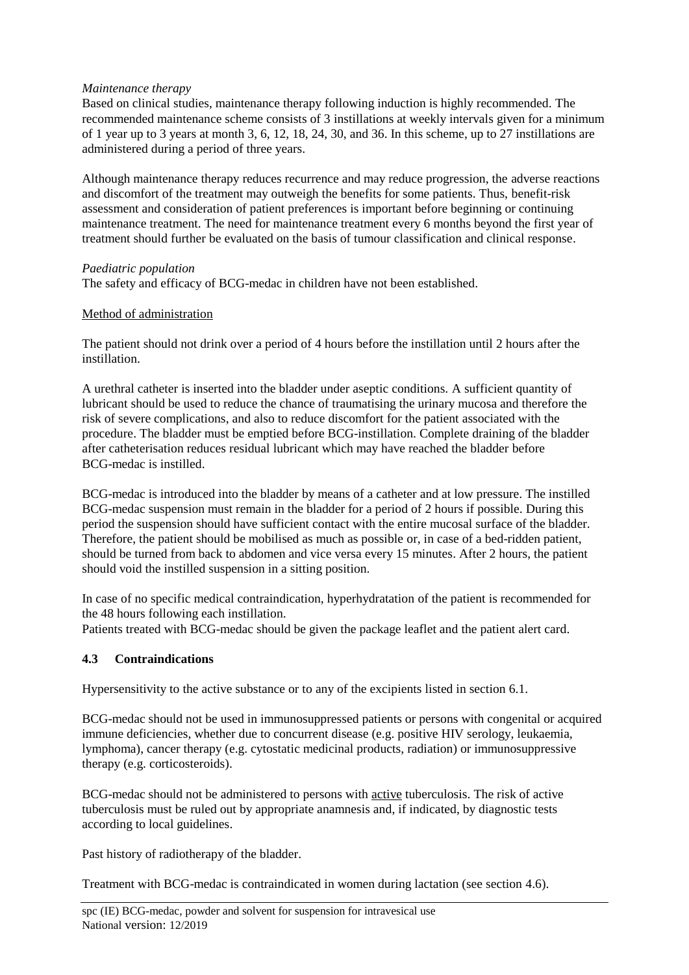### *Maintenance therapy*

Based on clinical studies, maintenance therapy following induction is highly recommended. The recommended maintenance scheme consists of 3 instillations at weekly intervals given for a minimum of 1 year up to 3 years at month 3, 6, 12, 18, 24, 30, and 36. In this scheme, up to 27 instillations are administered during a period of three years.

Although maintenance therapy reduces recurrence and may reduce progression, the adverse reactions and discomfort of the treatment may outweigh the benefits for some patients. Thus, benefit-risk assessment and consideration of patient preferences is important before beginning or continuing maintenance treatment. The need for maintenance treatment every 6 months beyond the first year of treatment should further be evaluated on the basis of tumour classification and clinical response.

### *Paediatric population*

The safety and efficacy of BCG-medac in children have not been established.

### Method of administration

The patient should not drink over a period of 4 hours before the instillation until 2 hours after the instillation.

A urethral catheter is inserted into the bladder under aseptic conditions. A sufficient quantity of lubricant should be used to reduce the chance of traumatising the urinary mucosa and therefore the risk of severe complications, and also to reduce discomfort for the patient associated with the procedure. The bladder must be emptied before BCG-instillation. Complete draining of the bladder after catheterisation reduces residual lubricant which may have reached the bladder before BCG-medac is instilled.

BCG-medac is introduced into the bladder by means of a catheter and at low pressure. The instilled BCG-medac suspension must remain in the bladder for a period of 2 hours if possible. During this period the suspension should have sufficient contact with the entire mucosal surface of the bladder. Therefore, the patient should be mobilised as much as possible or, in case of a bed-ridden patient, should be turned from back to abdomen and vice versa every 15 minutes. After 2 hours, the patient should void the instilled suspension in a sitting position.

In case of no specific medical contraindication, hyperhydratation of the patient is recommended for the 48 hours following each instillation.

Patients treated with BCG-medac should be given the package leaflet and the patient alert card.

## **4.3 Contraindications**

Hypersensitivity to the active substance or to any of the excipients listed in section 6.1.

BCG-medac should not be used in immunosuppressed patients or persons with congenital or acquired immune deficiencies, whether due to concurrent disease (e.g. positive HIV serology, leukaemia, lymphoma), cancer therapy (e.g. cytostatic medicinal products, radiation) or immunosuppressive therapy (e.g. corticosteroids).

BCG-medac should not be administered to persons with active tuberculosis. The risk of active tuberculosis must be ruled out by appropriate anamnesis and, if indicated, by diagnostic tests according to local guidelines.

Past history of radiotherapy of the bladder.

Treatment with BCG-medac is contraindicated in women during lactation (see section 4.6).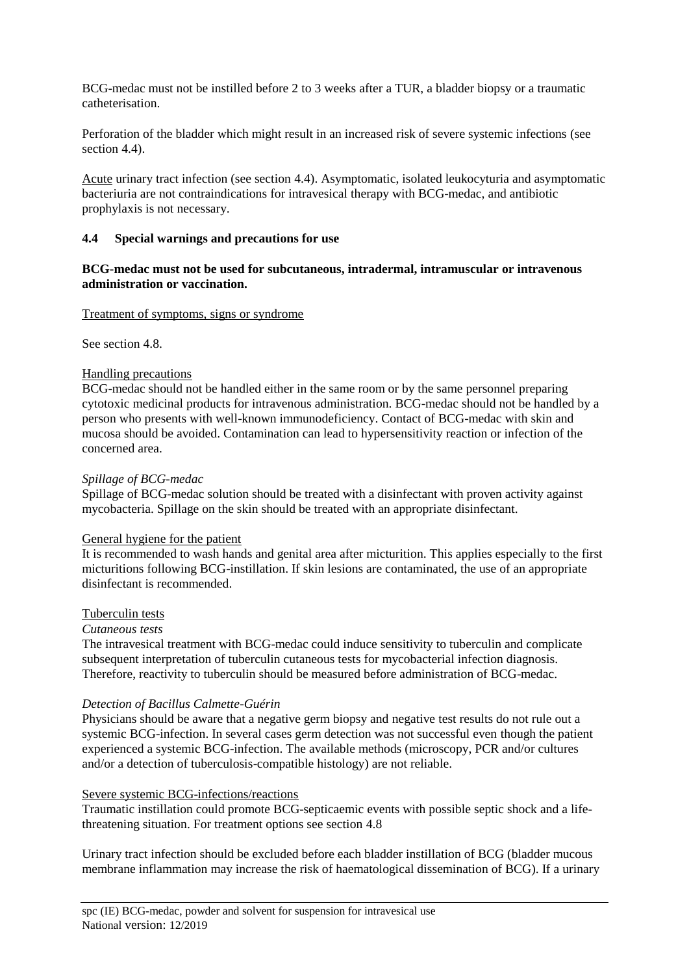BCG-medac must not be instilled before 2 to 3 weeks after a TUR, a bladder biopsy or a traumatic catheterisation.

Perforation of the bladder which might result in an increased risk of severe systemic infections (see section 4.4).

Acute urinary tract infection (see section 4.4). Asymptomatic, isolated leukocyturia and asymptomatic bacteriuria are not contraindications for intravesical therapy with BCG-medac, and antibiotic prophylaxis is not necessary.

#### **4.4 Special warnings and precautions for use**

#### **BCG-medac must not be used for subcutaneous, intradermal, intramuscular or intravenous administration or vaccination.**

#### Treatment of symptoms, signs or syndrome

See section 4.8.

#### Handling precautions

BCG-medac should not be handled either in the same room or by the same personnel preparing cytotoxic medicinal products for intravenous administration. BCG-medac should not be handled by a person who presents with well-known immunodeficiency. Contact of BCG-medac with skin and mucosa should be avoided. Contamination can lead to hypersensitivity reaction or infection of the concerned area.

#### *Spillage of BCG-medac*

Spillage of BCG-medac solution should be treated with a disinfectant with proven activity against mycobacteria. Spillage on the skin should be treated with an appropriate disinfectant.

#### General hygiene for the patient

It is recommended to wash hands and genital area after micturition. This applies especially to the first micturitions following BCG-instillation. If skin lesions are contaminated, the use of an appropriate disinfectant is recommended.

#### Tuberculin tests

#### *Cutaneous tests*

The intravesical treatment with BCG-medac could induce sensitivity to tuberculin and complicate subsequent interpretation of tuberculin cutaneous tests for mycobacterial infection diagnosis. Therefore, reactivity to tuberculin should be measured before administration of BCG-medac.

#### *Detection of Bacillus Calmette-Guérin*

Physicians should be aware that a negative germ biopsy and negative test results do not rule out a systemic BCG-infection. In several cases germ detection was not successful even though the patient experienced a systemic BCG-infection. The available methods (microscopy, PCR and/or cultures and/or a detection of tuberculosis-compatible histology) are not reliable.

#### Severe systemic BCG-infections/reactions

Traumatic instillation could promote BCG-septicaemic events with possible septic shock and a lifethreatening situation. For treatment options see section 4.8

Urinary tract infection should be excluded before each bladder instillation of BCG (bladder mucous membrane inflammation may increase the risk of haematological dissemination of BCG). If a urinary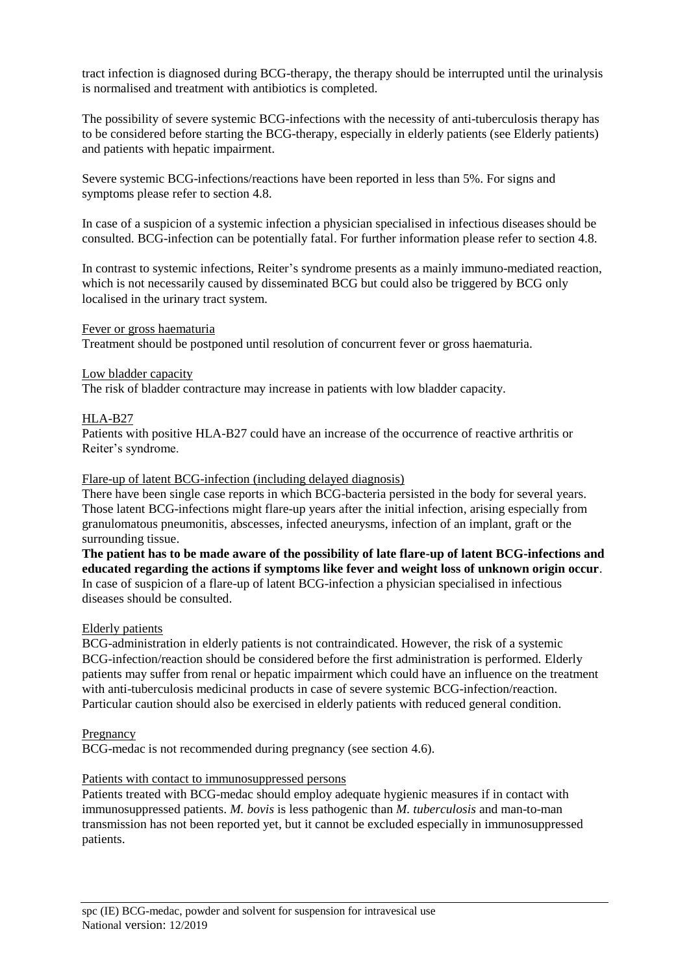tract infection is diagnosed during BCG-therapy, the therapy should be interrupted until the urinalysis is normalised and treatment with antibiotics is completed.

The possibility of severe systemic BCG-infections with the necessity of anti-tuberculosis therapy has to be considered before starting the BCG-therapy, especially in elderly patients (see Elderly patients) and patients with hepatic impairment.

Severe systemic BCG-infections/reactions have been reported in less than 5%. For signs and symptoms please refer to section 4.8.

In case of a suspicion of a systemic infection a physician specialised in infectious diseases should be consulted. BCG-infection can be potentially fatal. For further information please refer to section 4.8.

In contrast to systemic infections, Reiter's syndrome presents as a mainly immuno-mediated reaction, which is not necessarily caused by disseminated BCG but could also be triggered by BCG only localised in the urinary tract system.

#### Fever or gross haematuria

Treatment should be postponed until resolution of concurrent fever or gross haematuria.

#### Low bladder capacity

The risk of bladder contracture may increase in patients with low bladder capacity.

#### HLA-B27

Patients with positive HLA-B27 could have an increase of the occurrence of reactive arthritis or Reiter's syndrome.

#### Flare-up of latent BCG-infection (including delayed diagnosis)

There have been single case reports in which BCG-bacteria persisted in the body for several years. Those latent BCG-infections might flare-up years after the initial infection, arising especially from granulomatous pneumonitis, abscesses, infected aneurysms, infection of an implant, graft or the surrounding tissue.

**The patient has to be made aware of the possibility of late flare-up of latent BCG-infections and educated regarding the actions if symptoms like fever and weight loss of unknown origin occur**. In case of suspicion of a flare-up of latent BCG-infection a physician specialised in infectious diseases should be consulted.

#### Elderly patients

BCG-administration in elderly patients is not contraindicated. However, the risk of a systemic BCG-infection/reaction should be considered before the first administration is performed*.* Elderly patients may suffer from renal or hepatic impairment which could have an influence on the treatment with anti-tuberculosis medicinal products in case of severe systemic BCG-infection/reaction. Particular caution should also be exercised in elderly patients with reduced general condition.

#### Pregnancy

BCG-medac is not recommended during pregnancy (see section 4.6).

#### Patients with contact to immunosuppressed persons

Patients treated with BCG-medac should employ adequate hygienic measures if in contact with immunosuppressed patients. *M. bovis* is less pathogenic than *M. tuberculosis* and man-to-man transmission has not been reported yet, but it cannot be excluded especially in immunosuppressed patients.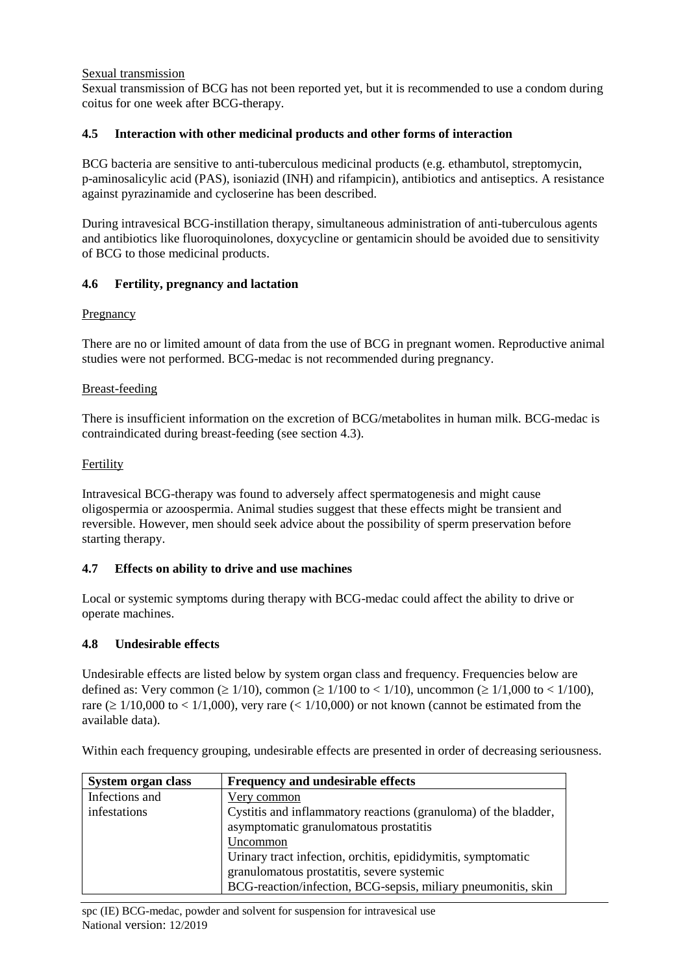### Sexual transmission

Sexual transmission of BCG has not been reported yet, but it is recommended to use a condom during coitus for one week after BCG-therapy.

## **4.5 Interaction with other medicinal products and other forms of interaction**

BCG bacteria are sensitive to anti-tuberculous medicinal products (e.g. ethambutol, streptomycin, p-aminosalicylic acid (PAS), isoniazid (INH) and rifampicin), antibiotics and antiseptics. A resistance against pyrazinamide and cycloserine has been described.

During intravesical BCG-instillation therapy, simultaneous administration of anti-tuberculous agents and antibiotics like fluoroquinolones, doxycycline or gentamicin should be avoided due to sensitivity of BCG to those medicinal products.

## **4.6 Fertility, pregnancy and lactation**

## **Pregnancy**

There are no or limited amount of data from the use of BCG in pregnant women. Reproductive animal studies were not performed. BCG-medac is not recommended during pregnancy.

### Breast-feeding

There is insufficient information on the excretion of BCG/metabolites in human milk. BCG-medac is contraindicated during breast-feeding (see section 4.3).

### Fertility

Intravesical BCG-therapy was found to adversely affect spermatogenesis and might cause oligospermia or azoospermia. Animal studies suggest that these effects might be transient and reversible. However, men should seek advice about the possibility of sperm preservation before starting therapy.

## **4.7 Effects on ability to drive and use machines**

Local or systemic symptoms during therapy with BCG-medac could affect the ability to drive or operate machines.

## **4.8 Undesirable effects**

Undesirable effects are listed below by system organ class and frequency. Frequencies below are defined as: Very common ( $\geq 1/10$ ), common ( $\geq 1/100$  to  $\lt 1/10$ ), uncommon ( $\geq 1/1,000$  to  $\lt 1/100$ ), rare ( $\geq 1/10,000$  to  $\lt 1/1,000$ ), very rare ( $\lt 1/10,000$ ) or not known (cannot be estimated from the available data).

Within each frequency grouping, undesirable effects are presented in order of decreasing seriousness.

| System organ class | <b>Frequency and undesirable effects</b>                        |
|--------------------|-----------------------------------------------------------------|
| Infections and     | Very common                                                     |
| infestations       | Cystitis and inflammatory reactions (granuloma) of the bladder, |
|                    | asymptomatic granulomatous prostatitis                          |
|                    | Uncommon                                                        |
|                    | Urinary tract infection, orchitis, epididymitis, symptomatic    |
|                    | granulomatous prostatitis, severe systemic                      |
|                    | BCG-reaction/infection, BCG-sepsis, miliary pneumonitis, skin   |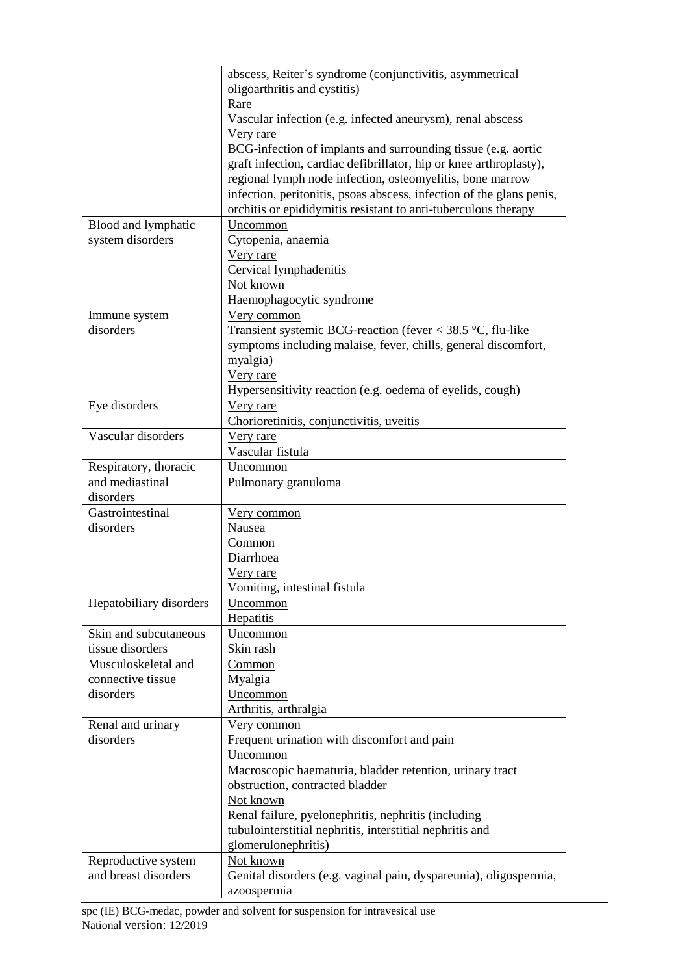|                         | abscess, Reiter's syndrome (conjunctivitis, asymmetrical             |
|-------------------------|----------------------------------------------------------------------|
|                         | oligoarthritis and cystitis)                                         |
|                         | Rare                                                                 |
|                         | Vascular infection (e.g. infected aneurysm), renal abscess           |
|                         | Very rare                                                            |
|                         | BCG-infection of implants and surrounding tissue (e.g. aortic        |
|                         | graft infection, cardiac defibrillator, hip or knee arthroplasty),   |
|                         | regional lymph node infection, osteomyelitis, bone marrow            |
|                         | infection, peritonitis, psoas abscess, infection of the glans penis, |
|                         | orchitis or epididymitis resistant to anti-tuberculous therapy       |
| Blood and lymphatic     | Uncommon                                                             |
| system disorders        | Cytopenia, anaemia                                                   |
|                         | Very rare                                                            |
|                         | Cervical lymphadenitis                                               |
|                         | Not known                                                            |
|                         | Haemophagocytic syndrome                                             |
| Immune system           | Very common                                                          |
| disorders               | Transient systemic BCG-reaction (fever $<$ 38.5 °C, flu-like         |
|                         | symptoms including malaise, fever, chills, general discomfort,       |
|                         | myalgia)                                                             |
|                         | Very rare                                                            |
|                         | Hypersensitivity reaction (e.g. oedema of eyelids, cough)            |
| Eye disorders           | Very rare                                                            |
|                         | Chorioretinitis, conjunctivitis, uveitis                             |
| Vascular disorders      | Very rare                                                            |
|                         | Vascular fistula                                                     |
| Respiratory, thoracic   | Uncommon                                                             |
| and mediastinal         | Pulmonary granuloma                                                  |
| disorders               |                                                                      |
| Gastrointestinal        | <u>Very common</u>                                                   |
| disorders               | Nausea                                                               |
|                         | Common                                                               |
|                         | Diarrhoea                                                            |
|                         | Very rare                                                            |
|                         | Vomiting, intestinal fistula                                         |
| Hepatobiliary disorders | Uncommon                                                             |
|                         | Hepatitis                                                            |
| Skin and subcutaneous   | Uncommon                                                             |
| tissue disorders        | Skin rash                                                            |
| Musculoskeletal and     | Common                                                               |
| connective tissue       | Myalgia                                                              |
| disorders               | Uncommon                                                             |
|                         | Arthritis, arthralgia                                                |
| Renal and urinary       | Very common                                                          |
| disorders               | Frequent urination with discomfort and pain                          |
|                         | Uncommon                                                             |
|                         | Macroscopic haematuria, bladder retention, urinary tract             |
|                         | obstruction, contracted bladder                                      |
|                         | Not known                                                            |
|                         | Renal failure, pyelonephritis, nephritis (including                  |
|                         | tubulointerstitial nephritis, interstitial nephritis and             |
|                         | glomerulonephritis)                                                  |
| Reproductive system     | Not known                                                            |
| and breast disorders    | Genital disorders (e.g. vaginal pain, dyspareunia), oligospermia,    |
|                         | azoospermia                                                          |
|                         |                                                                      |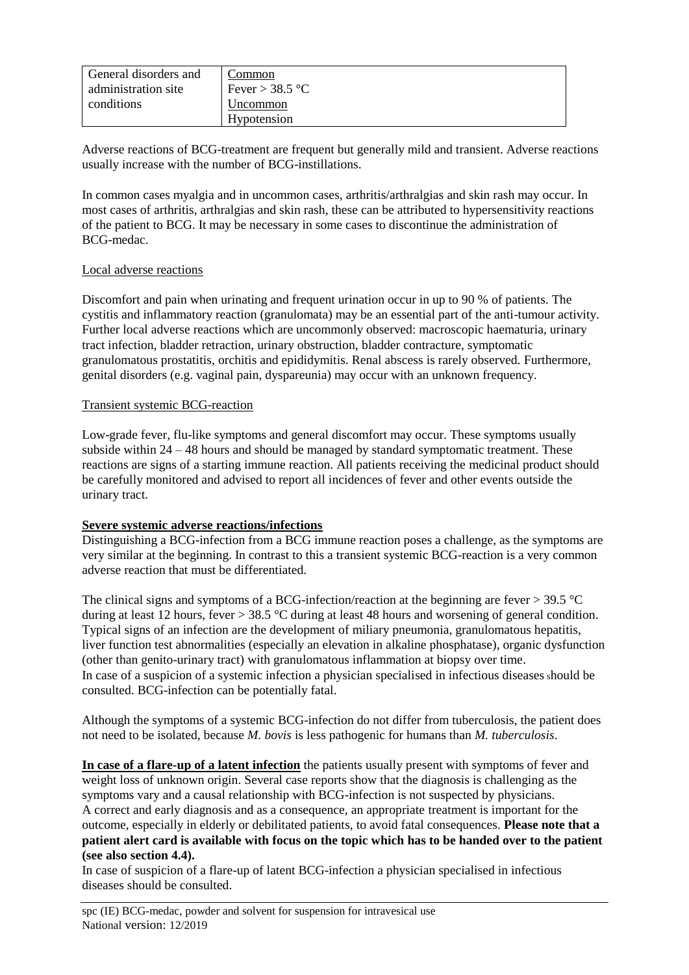| General disorders and | .`ommon           |
|-----------------------|-------------------|
| administration site   | Fever > $38.5$ °C |
| conditions            | Uncommon          |
|                       | Hypotension       |

Adverse reactions of BCG-treatment are frequent but generally mild and transient. Adverse reactions usually increase with the number of BCG-instillations.

In common cases myalgia and in uncommon cases, arthritis/arthralgias and skin rash may occur. In most cases of arthritis, arthralgias and skin rash, these can be attributed to hypersensitivity reactions of the patient to BCG. It may be necessary in some cases to discontinue the administration of BCG-medac.

### Local adverse reactions

Discomfort and pain when urinating and frequent urination occur in up to 90 % of patients. The cystitis and inflammatory reaction (granulomata) may be an essential part of the anti-tumour activity. Further local adverse reactions which are uncommonly observed: macroscopic haematuria, urinary tract infection, bladder retraction, urinary obstruction, bladder contracture, symptomatic granulomatous prostatitis, orchitis and epididymitis. Renal abscess is rarely observed. Furthermore, genital disorders (e.g. vaginal pain, dyspareunia) may occur with an unknown frequency.

### Transient systemic BCG-reaction

Low-grade fever, flu-like symptoms and general discomfort may occur. These symptoms usually subside within 24 – 48 hours and should be managed by standard symptomatic treatment. These reactions are signs of a starting immune reaction. All patients receiving the medicinal product should be carefully monitored and advised to report all incidences of fever and other events outside the urinary tract.

#### **Severe systemic adverse reactions/infections**

Distinguishing a BCG-infection from a BCG immune reaction poses a challenge, as the symptoms are very similar at the beginning. In contrast to this a transient systemic BCG-reaction is a very common adverse reaction that must be differentiated.

The clinical signs and symptoms of a BCG-infection/reaction at the beginning are fever  $>$  39.5 °C during at least 12 hours, fever > 38.5 °C during at least 48 hours and worsening of general condition. Typical signs of an infection are the development of miliary pneumonia, granulomatous hepatitis, liver function test abnormalities (especially an elevation in alkaline phosphatase), organic dysfunction (other than genito-urinary tract) with granulomatous inflammation at biopsy over time. In case of a suspicion of a systemic infection a physician specialised in infectious diseases should be consulted. BCG-infection can be potentially fatal.

Although the symptoms of a systemic BCG-infection do not differ from tuberculosis, the patient does not need to be isolated, because *M. bovis* is less pathogenic for humans than *M. tuberculosis*.

**In case of a flare-up of a latent infection** the patients usually present with symptoms of fever and weight loss of unknown origin. Several case reports show that the diagnosis is challenging as the symptoms vary and a causal relationship with BCG-infection is not suspected by physicians. A correct and early diagnosis and as a consequence, an appropriate treatment is important for the outcome, especially in elderly or debilitated patients, to avoid fatal consequences. **Please note that a patient alert card is available with focus on the topic which has to be handed over to the patient (see also section 4.4).**

In case of suspicion of a flare-up of latent BCG-infection a physician specialised in infectious diseases should be consulted.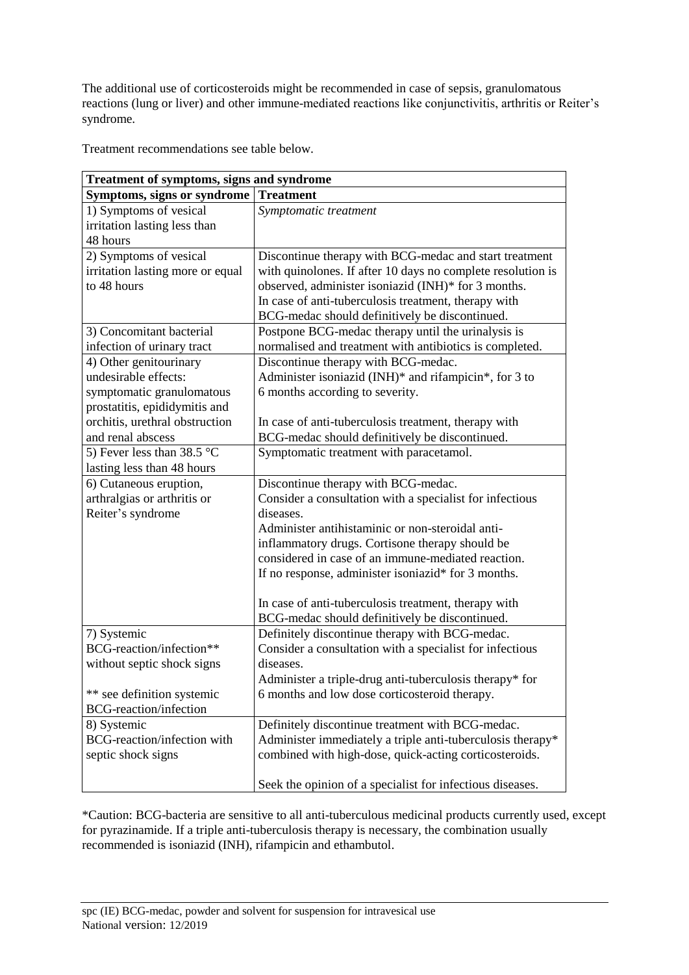The additional use of corticosteroids might be recommended in case of sepsis, granulomatous reactions (lung or liver) and other immune-mediated reactions like conjunctivitis, arthritis or Reiter's syndrome.

Treatment recommendations see table below.

| <b>Treatment of symptoms, signs and syndrome</b> |                                                             |  |  |
|--------------------------------------------------|-------------------------------------------------------------|--|--|
| Symptoms, signs or syndrome                      | <b>Treatment</b>                                            |  |  |
| 1) Symptoms of vesical                           | Symptomatic treatment                                       |  |  |
| irritation lasting less than                     |                                                             |  |  |
| 48 hours                                         |                                                             |  |  |
| 2) Symptoms of vesical                           | Discontinue therapy with BCG-medac and start treatment      |  |  |
| irritation lasting more or equal                 | with quinolones. If after 10 days no complete resolution is |  |  |
| to 48 hours                                      | observed, administer isoniazid (INH)* for 3 months.         |  |  |
|                                                  | In case of anti-tuberculosis treatment, therapy with        |  |  |
|                                                  | BCG-medac should definitively be discontinued.              |  |  |
| 3) Concomitant bacterial                         | Postpone BCG-medac therapy until the urinalysis is          |  |  |
| infection of urinary tract                       | normalised and treatment with antibiotics is completed.     |  |  |
| 4) Other genitourinary                           | Discontinue therapy with BCG-medac.                         |  |  |
| undesirable effects:                             | Administer isoniazid (INH)* and rifampicin*, for 3 to       |  |  |
| symptomatic granulomatous                        | 6 months according to severity.                             |  |  |
| prostatitis, epididymitis and                    |                                                             |  |  |
| orchitis, urethral obstruction                   | In case of anti-tuberculosis treatment, therapy with        |  |  |
| and renal abscess                                | BCG-medac should definitively be discontinued.              |  |  |
| 5) Fever less than $38.5^{\circ}$ C              | Symptomatic treatment with paracetamol.                     |  |  |
| lasting less than 48 hours                       |                                                             |  |  |
| 6) Cutaneous eruption,                           | Discontinue therapy with BCG-medac.                         |  |  |
| arthralgias or arthritis or                      | Consider a consultation with a specialist for infectious    |  |  |
| Reiter's syndrome                                | diseases.                                                   |  |  |
|                                                  | Administer antihistaminic or non-steroidal anti-            |  |  |
|                                                  | inflammatory drugs. Cortisone therapy should be             |  |  |
|                                                  | considered in case of an immune-mediated reaction.          |  |  |
|                                                  | If no response, administer isoniazid* for 3 months.         |  |  |
|                                                  |                                                             |  |  |
|                                                  | In case of anti-tuberculosis treatment, therapy with        |  |  |
|                                                  | BCG-medac should definitively be discontinued.              |  |  |
| 7) Systemic                                      | Definitely discontinue therapy with BCG-medac.              |  |  |
| BCG-reaction/infection**                         | Consider a consultation with a specialist for infectious    |  |  |
| without septic shock signs                       | diseases.                                                   |  |  |
|                                                  | Administer a triple-drug anti-tuberculosis therapy* for     |  |  |
| ** see definition systemic                       | 6 months and low dose corticosteroid therapy.               |  |  |
| <b>BCG-reaction/infection</b>                    |                                                             |  |  |
| 8) Systemic                                      | Definitely discontinue treatment with BCG-medac.            |  |  |
| <b>BCG-reaction/infection with</b>               | Administer immediately a triple anti-tuberculosis therapy*  |  |  |
| septic shock signs                               | combined with high-dose, quick-acting corticosteroids.      |  |  |
|                                                  | Seek the opinion of a specialist for infectious diseases.   |  |  |

\*Caution: BCG-bacteria are sensitive to all anti-tuberculous medicinal products currently used, except for pyrazinamide. If a triple anti-tuberculosis therapy is necessary, the combination usually recommended is isoniazid (INH), rifampicin and ethambutol.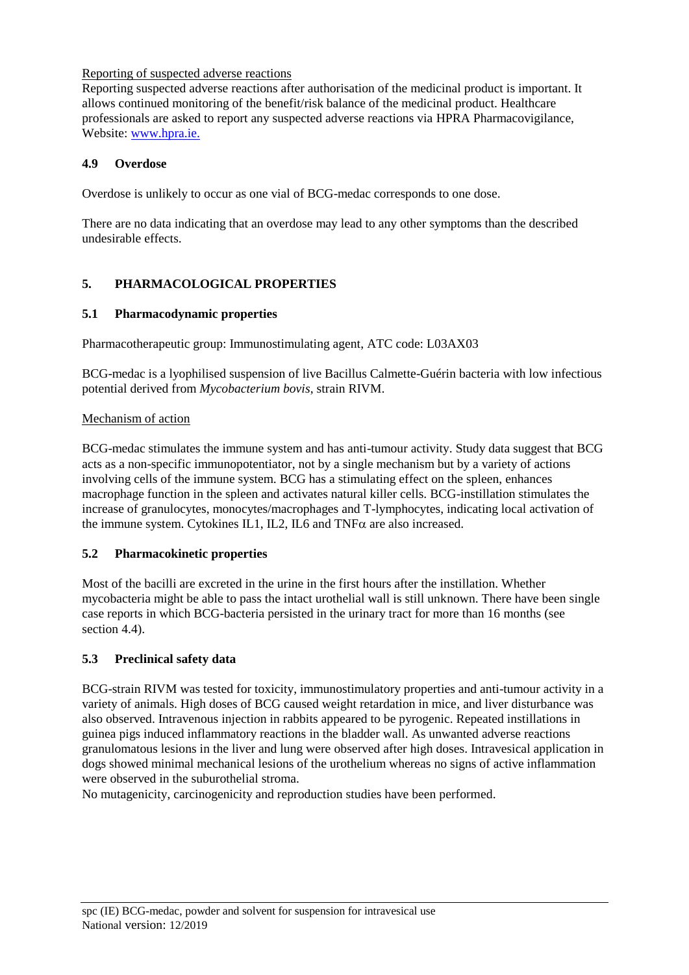## Reporting of suspected adverse reactions

Reporting suspected adverse reactions after authorisation of the medicinal product is important. It allows continued monitoring of the benefit/risk balance of the medicinal product. Healthcare professionals are asked to report any suspected adverse reactions via HPRA Pharmacovigilance, Website: [www.hpra.ie.](http://www.hpra.ie/)

## **4.9 Overdose**

Overdose is unlikely to occur as one vial of BCG-medac corresponds to one dose.

There are no data indicating that an overdose may lead to any other symptoms than the described undesirable effects.

# **5. PHARMACOLOGICAL PROPERTIES**

## **5.1 Pharmacodynamic properties**

Pharmacotherapeutic group: Immunostimulating agent, ATC code: L03AX03

BCG-medac is a lyophilised suspension of live Bacillus Calmette-Guérin bacteria with low infectious potential derived from *Mycobacterium bovis*, strain RIVM.

## Mechanism of action

BCG-medac stimulates the immune system and has anti-tumour activity. Study data suggest that BCG acts as a non-specific immunopotentiator, not by a single mechanism but by a variety of actions involving cells of the immune system. BCG has a stimulating effect on the spleen, enhances macrophage function in the spleen and activates natural killer cells. BCG-instillation stimulates the increase of granulocytes, monocytes/macrophages and T-lymphocytes, indicating local activation of the immune system. Cytokines IL1, IL2, IL6 and  $TNF\alpha$  are also increased.

# **5.2 Pharmacokinetic properties**

Most of the bacilli are excreted in the urine in the first hours after the instillation. Whether mycobacteria might be able to pass the intact urothelial wall is still unknown. There have been single case reports in which BCG-bacteria persisted in the urinary tract for more than 16 months (see section 4.4).

# **5.3 Preclinical safety data**

BCG-strain RIVM was tested for toxicity, immunostimulatory properties and anti-tumour activity in a variety of animals. High doses of BCG caused weight retardation in mice, and liver disturbance was also observed. Intravenous injection in rabbits appeared to be pyrogenic. Repeated instillations in guinea pigs induced inflammatory reactions in the bladder wall. As unwanted adverse reactions granulomatous lesions in the liver and lung were observed after high doses. Intravesical application in dogs showed minimal mechanical lesions of the urothelium whereas no signs of active inflammation were observed in the suburothelial stroma.

No mutagenicity, carcinogenicity and reproduction studies have been performed.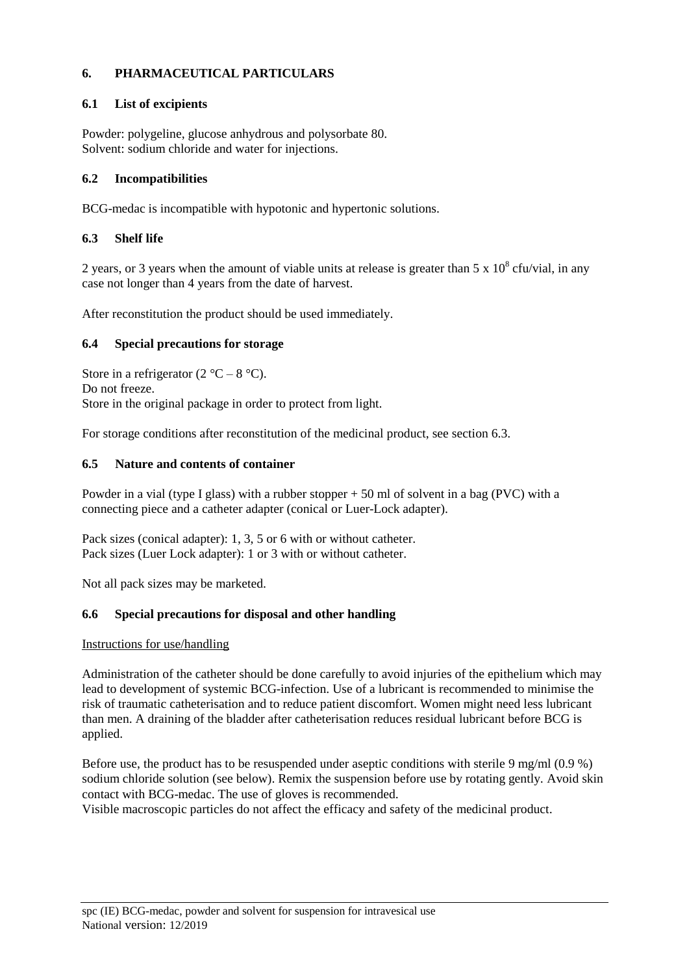# **6. PHARMACEUTICAL PARTICULARS**

## **6.1 List of excipients**

Powder: polygeline, glucose anhydrous and polysorbate 80. Solvent: sodium chloride and water for injections.

## **6.2 Incompatibilities**

BCG-medac is incompatible with hypotonic and hypertonic solutions.

## **6.3 Shelf life**

2 years, or 3 years when the amount of viable units at release is greater than 5 x  $10^8$  cfu/vial, in any case not longer than 4 years from the date of harvest.

After reconstitution the product should be used immediately.

## **6.4 Special precautions for storage**

Store in a refrigerator  $(2 °C - 8 °C)$ . Do not freeze. Store in the original package in order to protect from light.

For storage conditions after reconstitution of the medicinal product, see section 6.3.

## **6.5 Nature and contents of container**

Powder in a vial (type I glass) with a rubber stopper + 50 ml of solvent in a bag (PVC) with a connecting piece and a catheter adapter (conical or Luer-Lock adapter).

Pack sizes (conical adapter): 1, 3, 5 or 6 with or without catheter. Pack sizes (Luer Lock adapter): 1 or 3 with or without catheter.

Not all pack sizes may be marketed.

## **6.6 Special precautions for disposal and other handling**

## Instructions for use/handling

Administration of the catheter should be done carefully to avoid injuries of the epithelium which may lead to development of systemic BCG-infection. Use of a lubricant is recommended to minimise the risk of traumatic catheterisation and to reduce patient discomfort. Women might need less lubricant than men. A draining of the bladder after catheterisation reduces residual lubricant before BCG is applied.

Before use, the product has to be resuspended under aseptic conditions with sterile 9 mg/ml (0.9 %) sodium chloride solution (see below). Remix the suspension before use by rotating gently. Avoid skin contact with BCG-medac. The use of gloves is recommended.

Visible macroscopic particles do not affect the efficacy and safety of the medicinal product.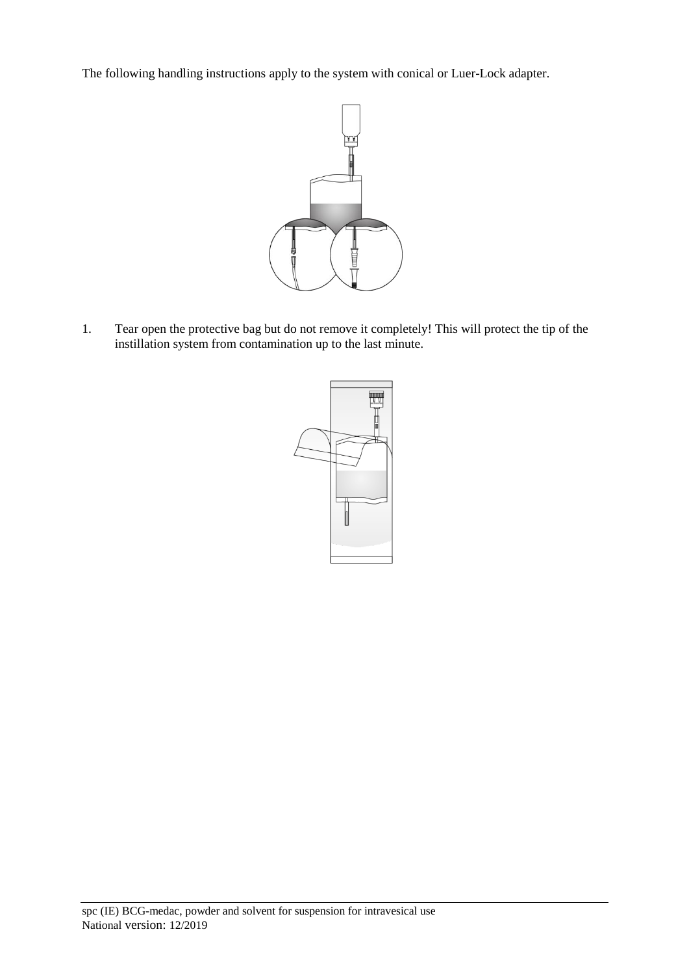The following handling instructions apply to the system with conical or Luer-Lock adapter.



1. Tear open the protective bag but do not remove it completely! This will protect the tip of the instillation system from contamination up to the last minute.

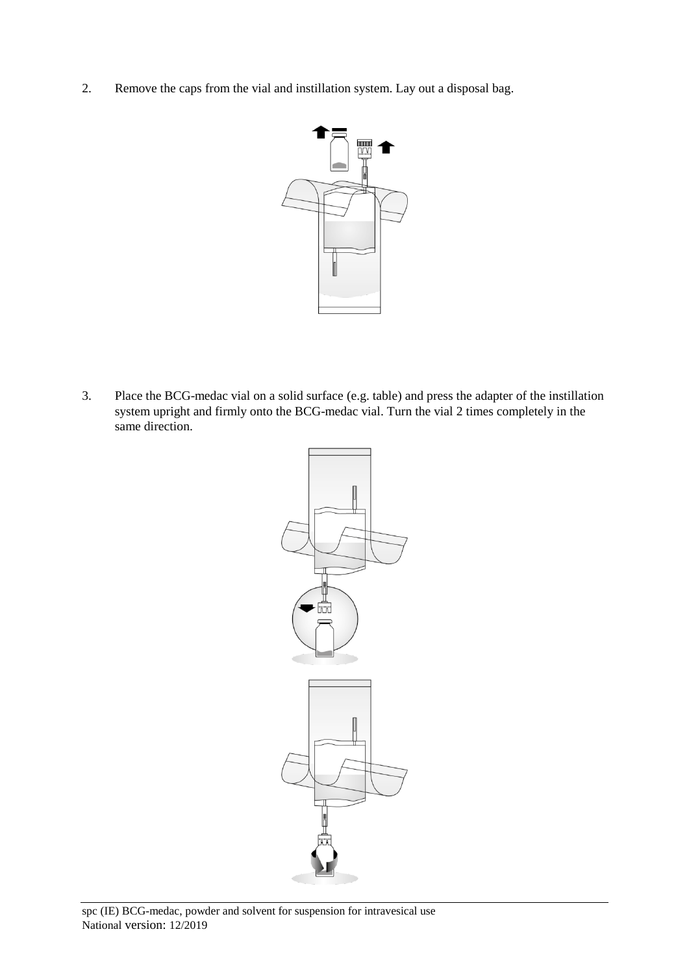2. Remove the caps from the vial and instillation system. Lay out a disposal bag.



3. Place the BCG-medac vial on a solid surface (e.g. table) and press the adapter of the instillation system upright and firmly onto the BCG-medac vial. Turn the vial 2 times completely in the same direction.

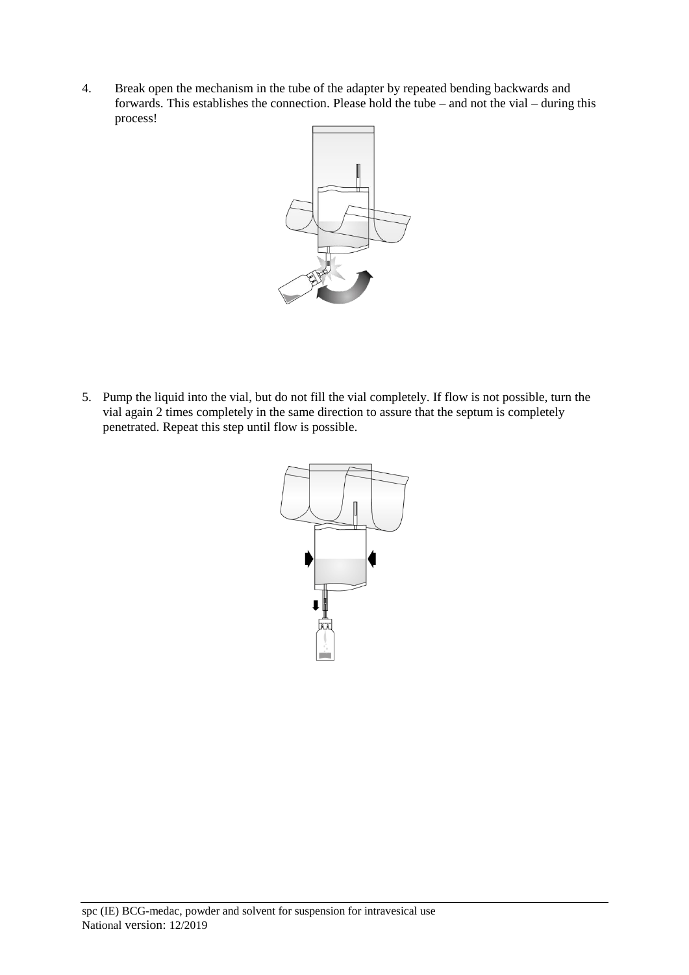4. Break open the mechanism in the tube of the adapter by repeated bending backwards and forwards. This establishes the connection. Please hold the tube – and not the vial – during this process!



5. Pump the liquid into the vial, but do not fill the vial completely. If flow is not possible, turn the vial again 2 times completely in the same direction to assure that the septum is completely penetrated. Repeat this step until flow is possible.

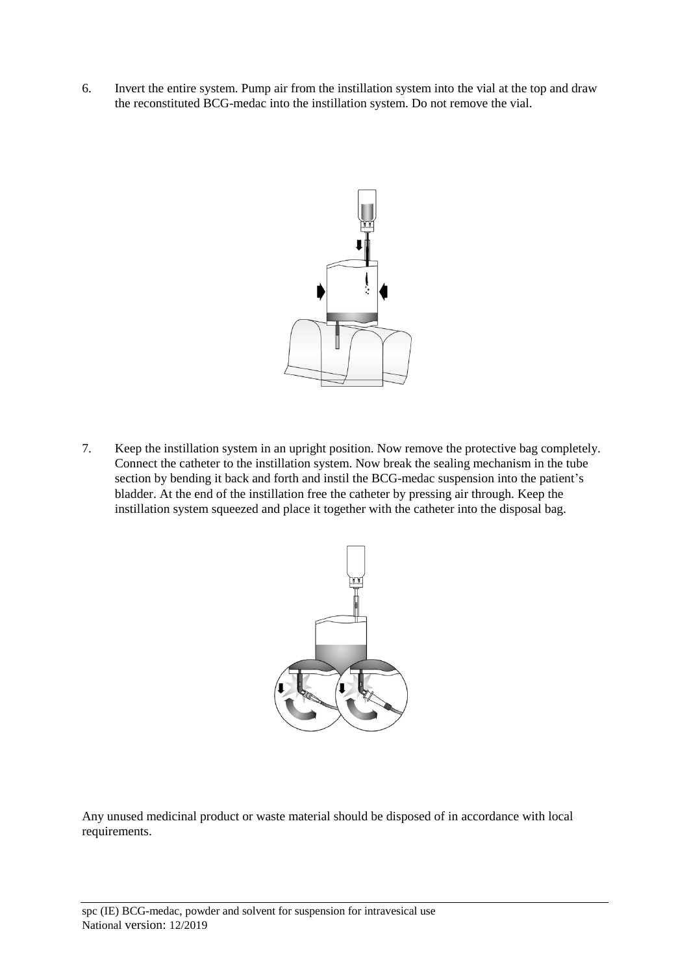6. Invert the entire system. Pump air from the instillation system into the vial at the top and draw the reconstituted BCG-medac into the instillation system. Do not remove the vial.



7. Keep the instillation system in an upright position. Now remove the protective bag completely. Connect the catheter to the instillation system. Now break the sealing mechanism in the tube section by bending it back and forth and instil the BCG-medac suspension into the patient's bladder. At the end of the instillation free the catheter by pressing air through. Keep the instillation system squeezed and place it together with the catheter into the disposal bag.



Any unused medicinal product or waste material should be disposed of in accordance with local requirements.